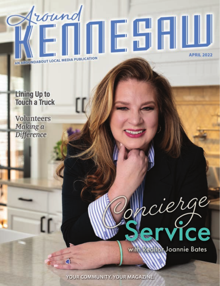# fround **NESTIL APRIL 2022** AN ARQUINDABOUT LOCAL MEDIA PUBLICATION

**Lining Up to Touch a Truck** 

**Volunteers** Making a **Difference** 

> *acierge* **ith Realton Joannie Bates**

YOUR COMMUNITY. YOUR MAGAZINE.

ď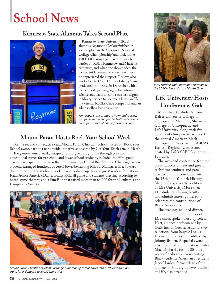## **School News**

#### **Kennesaw State Alumnus Takes Second Place**



Kennesaw State University (KSU) alumnus Raymond Goslow finished in second place in the "Jeopardy! National College Championship" and took home \$100,000. Crowds gathered for watch parties on KSU's Kennesaw and Marietta campuses, and when the show ended, the contestant let everyone know how much he appreciated the support. Goslow, who works for the Cobb County Library System, graduated from KSU in December with a bachelor's degree in geographic information science and plans to earn a master's degree in library science to become a librarian. He is a veteran Rubik's Cube competitor and an adult spelling bee champion.

*Kennesaw State graduate Raymond Goslow competes in the "Jeopardy! National College Championship," where he finished second.*

#### **Mount Paran Hosts Rock Your School Week**

For the second consecutive year, Mount Paran Christian School hosted its Rock Your School event, part of a nationwide initiative sponsored by Get Your Teach On, in March.

The game-themed week, designed to bring learning to life through play and educational games for preschool and lower-school students, included the fifth-grade classes participating in a basketball tournament; a Cereal Box Domino Challenge, where students arranged hundreds of cereal boxes benefiting MUST Ministries in a 70-yard domino train in the stadium; book character dress-up day and guest readers for national Read Across America Day; a faculty kickball game and students dressing according to board-game themes; and a Fun Run that raised more than \$4,000 for the Leukemia and Lymphoma Society.



*Mount Paran Christian students arrange hundreds of cereal boxes into a 70-yard domino train, later donated to MUST Ministries.* 



*Jerry Hardee and Charmaine Herman at the SABCA Black History Month Gala.*

## **Life University Hosts Conference, Gala**

More than 40 students from Kaiser University College of Chiropractic Medicine, Sherman College of Chiropractic and Life University, along with five doctors of chiropractic, attended the annual American Black Chiropractic Association (ABCA) Eastern Regional Conference hosted by Life's SABCA chapter in February.

The weekend conference featured presentations, a meet and greet, technique seminars and panel discussions and concluded with the 15th annual Black History Month Gala, a yearly tradition at Life University. More than 115 students, alumni, faculty and administrators gathered to celebrate the contributions of Black Americans.

The evening included dinner, entertainment by the Voices of Life choir, spoken word by Telesa Hart, a dance performance by Girls Inc. of Greater Atlanta, two selections from harpist Lyrika Holmes and a keynote address by Johnny Brown. A special award was presented to minority recruiter Mackel Harris, for his 30-plus years of dedication to recruiting Black students. Sherman President Jerry Hardee, former dean of the College of Undergraduates Studies at Life, also attended.